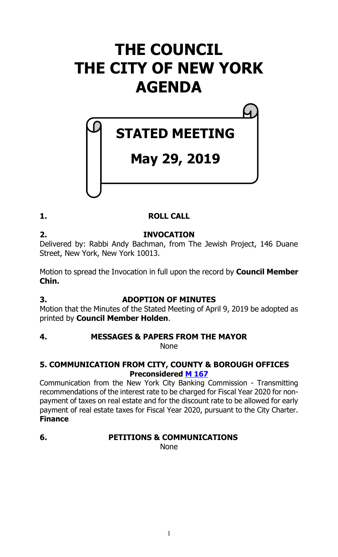## **THE COUNCIL THE CITY OF NEW YORK AGENDA**

# **May 29, 2019**

**STATED MEETING**

#### **1. ROLL CALL**

**2. INVOCATION** Delivered by: Rabbi Andy Bachman, from The Jewish Project, 146 Duane Street, New York, New York 10013.

Motion to spread the Invocation in full upon the record by **Council Member Chin.**

#### **3. ADOPTION OF MINUTES**

Motion that the Minutes of the Stated Meeting of April 9, 2019 be adopted as printed by **Council Member Holden**.

#### **4. MESSAGES & PAPERS FROM THE MAYOR**

None

#### **5. COMMUNICATION FROM CITY, COUNTY & BOROUGH OFFICES Preconsidered M [167](https://legistar.council.nyc.gov/LegislationDetail.aspx?ID=3957450&GUID=DC7F0E62-F885-4914-8BCF-33F90F8BE3B5&Options=&Search=)**

Communication from the New York City Banking Commission - Transmitting recommendations of the interest rate to be charged for Fiscal Year 2020 for nonpayment of taxes on real estate and for the discount rate to be allowed for early payment of real estate taxes for Fiscal Year 2020, pursuant to the City Charter. **Finance**

#### **6. PETITIONS & COMMUNICATIONS**

None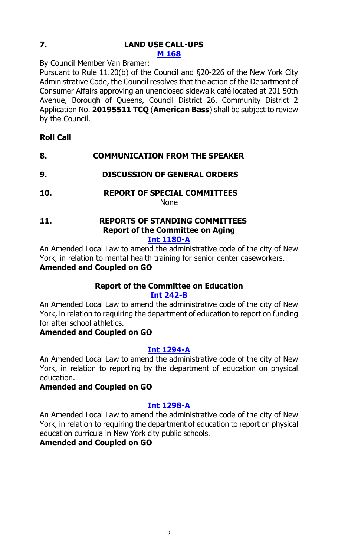#### **7. LAND USE CALL-UPS M [168](https://legistar.council.nyc.gov/LegislationDetail.aspx?ID=3963806&GUID=A9467EF4-A4E9-43BF-965A-A3C19AB44D5C&Options=&Search=)**

By Council Member Van Bramer:

Pursuant to Rule 11.20(b) of the Council and §20-226 of the New York City Administrative Code, the Council resolves that the action of the Department of Consumer Affairs approving an unenclosed sidewalk café located at 201 50th Avenue, Borough of Queens, Council District 26, Community District 2 Application No. **20195511 TCQ** (**American Bass**) shall be subject to review by the Council.

- **Roll Call**
- **8. COMMUNICATION FROM THE SPEAKER**
- **9. DISCUSSION OF GENERAL ORDERS**
- **10. REPORT OF SPECIAL COMMITTEES**

None

#### **11. REPORTS OF STANDING COMMITTEES Report of the Committee on Aging [Int 1180-A](https://legistar.council.nyc.gov/LegislationDetail.aspx?ID=3713958&GUID=7AC49EC1-83C2-4FD6-98C8-C1938CFBAAAC&Options=&Search=)**

An Amended Local Law to amend the administrative code of the city of New York, in relation to mental health training for senior center caseworkers. **Amended and Coupled on GO**

#### **Report of the Committee on Education**

#### **[Int 242-B](https://legistar.council.nyc.gov/LegislationDetail.aspx?ID=3331913&GUID=D2AF695B-8FE1-42B2-9A7C-3BC69861A301&Options=&Search=)**

An Amended Local Law to amend the administrative code of the city of New York, in relation to requiring the department of education to report on funding for after school athletics.

#### **Amended and Coupled on GO**

#### **[Int 1294-A](https://legistar.council.nyc.gov/LegislationDetail.aspx?ID=3762949&GUID=F0818D2B-1EBD-488C-98A2-725EE77A50C2&Options=&Search=)**

An Amended Local Law to amend the administrative code of the city of New York, in relation to reporting by the department of education on physical education.

#### **Amended and Coupled on GO**

#### **[Int 1298-A](https://legistar.council.nyc.gov/LegislationDetail.aspx?ID=3762950&GUID=4E3F2464-638A-4079-83D9-4D9951F36774&Options=&Search=)**

An Amended Local Law to amend the administrative code of the city of New York, in relation to requiring the department of education to report on physical education curricula in New York city public schools.

#### **Amended and Coupled on GO**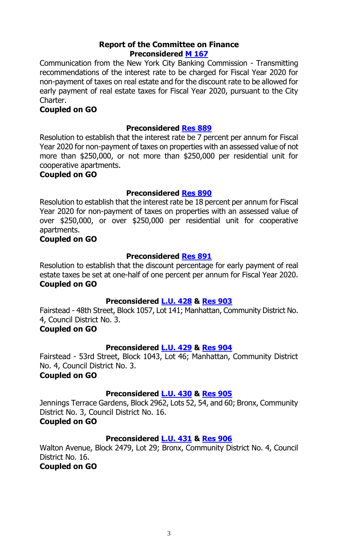#### **Report of the Committee on Finance Preconsidered M [167](https://legistar.council.nyc.gov/LegislationDetail.aspx?ID=3957450&GUID=DC7F0E62-F885-4914-8BCF-33F90F8BE3B5&Options=&Search=)**

Communication from the New York City Banking Commission - Transmitting recommendations of the interest rate to be charged for Fiscal Year 2020 for non-payment of taxes on real estate and for the discount rate to be allowed for early payment of real estate taxes for Fiscal Year 2020, pursuant to the City Charter.

#### **Coupled on GO**

#### **Preconsidered Res [889](https://legistar.council.nyc.gov/LegislationDetail.aspx?ID=3957452&GUID=2C7090D6-E436-4BE5-9A12-2ADE26889FEB&Options=&Search=)**

Resolution to establish that the interest rate be 7 percent per annum for Fiscal Year 2020 for non-payment of taxes on properties with an assessed value of not more than \$250,000, or not more than \$250,000 per residential unit for cooperative apartments.

#### **Coupled on GO**

#### **Preconsidered Res [890](https://legistar.council.nyc.gov/LegislationDetail.aspx?ID=3957453&GUID=68F0608A-CAE3-466B-8120-6BDE7249EEB0&Options=&Search=)**

Resolution to establish that the interest rate be 18 percent per annum for Fiscal Year 2020 for non-payment of taxes on properties with an assessed value of over \$250,000, or over \$250,000 per residential unit for cooperative apartments.

#### **Coupled on GO**

#### **Preconsidered Res [891](https://legistar.council.nyc.gov/LegislationDetail.aspx?ID=3957451&GUID=97A3205F-B83B-4362-9F25-5BFA0FB3809B&Options=&Search=)**

Resolution to establish that the discount percentage for early payment of real estate taxes be set at one-half of one percent per annum for Fiscal Year 2020. **Coupled on GO**

#### **Preconsidered [L.U.](https://legistar.council.nyc.gov/LegislationDetail.aspx?ID=3957342&GUID=2734335A-344E-4AFE-91E4-3F28D0A2DA72&Options=&Search=) 428 & [Res](https://legistar.council.nyc.gov/LegislationDetail.aspx?ID=3963840&GUID=93C29D70-46DF-42DF-BF56-7F72E265BBD3&Options=&Search=) 903**

Fairstead - 48th Street, Block 1057, Lot 141; Manhattan, Community District No. 4, Council District No. 3.

#### **Coupled on GO**

#### **Preconsidered [L.U. 429](https://legistar.council.nyc.gov/LegislationDetail.aspx?ID=3957343&GUID=95CFDBC6-0ED1-4232-BEA4-7AFF55E70A2D&Options=&Search=) & [Res](https://legistar.council.nyc.gov/LegislationDetail.aspx?ID=3963841&GUID=E75705F9-9D2D-43BD-81BD-8F57B67176F9&Options=&Search=) 904**

Fairstead - 53rd Street, Block 1043, Lot 46; Manhattan, Community District No. 4, Council District No. 3.

#### **Coupled on GO**

#### **Preconsidered [L.U. 430](https://legistar.council.nyc.gov/LegislationDetail.aspx?ID=3957344&GUID=FAA82D5D-6CA7-45BA-9DF6-E85A414482E7&Options=&Search=) & [Res](https://legistar.council.nyc.gov/LegislationDetail.aspx?ID=3963842&GUID=A8F77D21-D8C2-4C1F-97B0-98C5F74DBDA1&Options=&Search=) 905**

Jennings Terrace Gardens, Block 2962, Lots 52, 54, and 60; Bronx, Community District No. 3, Council District No. 16.

#### **Coupled on GO**

#### **Preconsidered [L.U. 431](https://legistar.council.nyc.gov/LegislationDetail.aspx?ID=3957440&GUID=FEBFF2CA-600A-490F-9807-1AFBF1292DEE&Options=&Search=) & [Res](https://legistar.council.nyc.gov/LegislationDetail.aspx?ID=3963843&GUID=08CC4247-7FF7-46C8-ABDF-938B56F4E270&Options=&Search=) 906**

Walton Avenue, Block 2479, Lot 29; Bronx, Community District No. 4, Council District No. 16.

#### **Coupled on GO**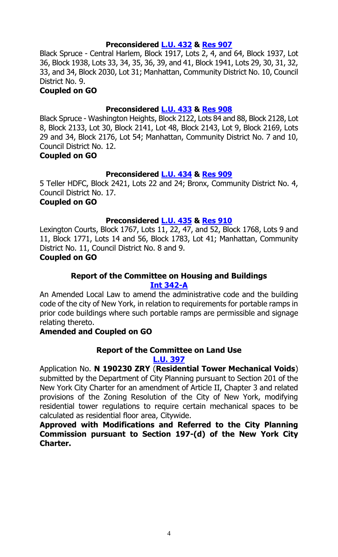#### **Preconsidered [L.U. 432](https://legistar.council.nyc.gov/LegislationDetail.aspx?ID=3957441&GUID=DA5046E1-FF15-4E9F-BA6E-5C12A089EB8F&Options=&Search=) & [Res](https://legistar.council.nyc.gov/LegislationDetail.aspx?ID=3963844&GUID=A103B6D6-B8E8-48BB-AA15-9F747AC18269&Options=&Search=) 907**

Black Spruce - Central Harlem, Block 1917, Lots 2, 4, and 64, Block 1937, Lot 36, Block 1938, Lots 33, 34, 35, 36, 39, and 41, Block 1941, Lots 29, 30, 31, 32, 33, and 34, Block 2030, Lot 31; Manhattan, Community District No. 10, Council District No. 9.

#### **Coupled on GO**

#### **Preconsidered [L.U. 433](https://legistar.council.nyc.gov/LegislationDetail.aspx?ID=3957454&GUID=4E403B1F-13D9-4429-A628-4570C9B709D9&Options=&Search=) & [Res](https://legistar.council.nyc.gov/LegislationDetail.aspx?ID=3963904&GUID=FE82DBE1-D499-4F3A-9876-A1EE6A4AE132&Options=&Search=) 908**

Black Spruce - Washington Heights, Block 2122, Lots 84 and 88, Block 2128, Lot 8, Block 2133, Lot 30, Block 2141, Lot 48, Block 2143, Lot 9, Block 2169, Lots 29 and 34, Block 2176, Lot 54; Manhattan, Community District No. 7 and 10, Council District No. 12.

#### **Coupled on GO**

#### **Preconsidered [L.U. 434](https://legistar.council.nyc.gov/LegislationDetail.aspx?ID=3957455&GUID=40735AF6-9BDF-47B3-9A2C-0A71C009B008&Options=&Search=) & [Res](https://legistar.council.nyc.gov/LegislationDetail.aspx?ID=3963905&GUID=6852E783-8AF0-48D0-BA85-3974C836F8C2&Options=&Search=) 909**

5 Teller HDFC, Block 2421, Lots 22 and 24; Bronx, Community District No. 4, Council District No. 17.

#### **Coupled on GO**

#### **Preconsidered [L.U. 435](https://legistar.council.nyc.gov/LegislationDetail.aspx?ID=3957456&GUID=F4035880-CDAC-4037-9D2E-58F5E3BA39DE&Options=&Search=) & [Res](https://legistar.council.nyc.gov/LegislationDetail.aspx?ID=3963906&GUID=11ED2E5F-6E4A-4271-95D3-850245E15C2A&Options=&Search=) 910**

Lexington Courts, Block 1767, Lots  $1\overline{1, 22, 47}$ , and 52, Block 1768, Lots 9 and 11, Block 1771, Lots 14 and 56, Block 1783, Lot 41; Manhattan, Community District No. 11, Council District No. 8 and 9.

#### **Coupled on GO**

#### **Report of the Committee on Housing and Buildings [Int 342-A](https://legistar.council.nyc.gov/LegislationDetail.aspx?ID=3332170&GUID=32F204F1-0DE9-4348-9032-462793D515A7&Options=&Search=)**

An Amended Local Law to amend the administrative code and the building code of the city of New York, in relation to requirements for portable ramps in prior code buildings where such portable ramps are permissible and signage relating thereto.

#### **Amended and Coupled on GO**

#### **Report of the Committee on Land Use [L.U. 397](https://legistar.council.nyc.gov/LegislationDetail.aspx?ID=3921852&GUID=B982D715-C0BE-4D10-9591-206704F4D5AF&Options=&Search=)**

Application No. **N 190230 ZRY** (**Residential Tower Mechanical Voids**) submitted by the Department of City Planning pursuant to Section 201 of the New York City Charter for an amendment of Article II, Chapter 3 and related provisions of the Zoning Resolution of the City of New York, modifying residential tower regulations to require certain mechanical spaces to be calculated as residential floor area, Citywide.

**Approved with Modifications and Referred to the City Planning Commission pursuant to Section 197-(d) of the New York City Charter.**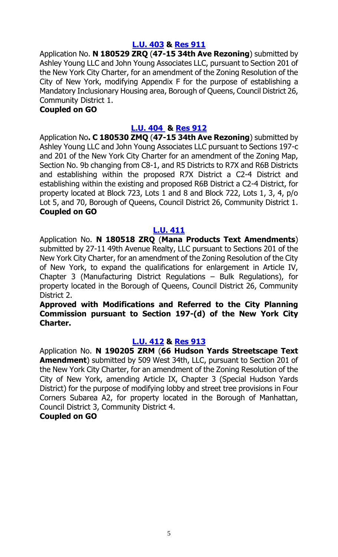#### **[L.U. 403](https://legistar.council.nyc.gov/LegislationDetail.aspx?ID=3923948&GUID=4B8E9998-7013-4690-8A03-2D0148DB4128&Options=&Search=) & [Res](https://legistar.council.nyc.gov/LegislationDetail.aspx?ID=3949905&GUID=FB3DF5AD-A95A-4E51-851A-34B23DE43508&Options=&Search=) 911**

Application No. **N 180529 ZRQ** (**47-15 34th Ave Rezoning**) submitted by Ashley Young LLC and John Young Associates LLC, pursuant to Section 201 of the New York City Charter, for an amendment of the Zoning Resolution of the City of New York, modifying Appendix F for the purpose of establishing a Mandatory Inclusionary Housing area, Borough of Queens, Council District 26, Community District 1.

#### **Coupled on GO**

#### **[L.U. 404](https://legistar.council.nyc.gov/LegislationDetail.aspx?ID=3923949&GUID=2777DCA0-6A6F-46E4-A098-80ACAB91F117&Options=&Search=) & [Res](https://legistar.council.nyc.gov/LegislationDetail.aspx?ID=3949906&GUID=24367254-5D8E-458C-B550-BD484B7BB8FB&Options=&Search=) 912**

Application No**. C 180530 ZMQ** (**47-15 34th Ave Rezoning**) submitted by Ashley Young LLC and John Young Associates LLC pursuant to Sections 197-c and 201 of the New York City Charter for an amendment of the Zoning Map, Section No. 9b changing from C8-1, and R5 Districts to R7X and R6B Districts and establishing within the proposed R7X District a C2-4 District and establishing within the existing and proposed R6B District a C2-4 District, for property located at Block 723, Lots 1 and 8 and Block 722, Lots 1, 3, 4, p/o Lot 5, and 70, Borough of Queens, Council District 26, Community District 1. **Coupled on GO**

#### **[L.U. 411](https://legistar.council.nyc.gov/LegislationDetail.aspx?ID=3932908&GUID=5EC4F428-03A4-4697-A3D6-1FF6D37E0A44&Options=&Search=)**

Application No. **N 180518 ZRQ** (**Mana Products Text Amendments**) submitted by 27-11 49th Avenue Realty, LLC pursuant to Sections 201 of the New York City Charter, for an amendment of the Zoning Resolution of the City of New York, to expand the qualifications for enlargement in Article IV, Chapter 3 (Manufacturing District Regulations – Bulk Regulations), for property located in the Borough of Queens, Council District 26, Community District 2.

**Approved with Modifications and Referred to the City Planning Commission pursuant to Section 197-(d) of the New York City Charter.**

#### **[L.U. 412](https://legistar.council.nyc.gov/LegislationDetail.aspx?ID=3932915&GUID=C35438B6-336B-4037-B136-57C9D4E70E5D&Options=&Search=) & [Res](https://legistar.council.nyc.gov/LegislationDetail.aspx?ID=3949908&GUID=FD966D6C-4703-4D98-9482-79AE85938D0F&Options=&Search=) 913**

Application No. **N 190205 ZRM** (**66 Hudson Yards Streetscape Text Amendment**) submitted by 509 West 34th, LLC, pursuant to Section 201 of the New York City Charter, for an amendment of the Zoning Resolution of the City of New York, amending Article IX, Chapter 3 (Special Hudson Yards District) for the purpose of modifying lobby and street tree provisions in Four Corners Subarea A2, for property located in the Borough of Manhattan, Council District 3, Community District 4.

#### **Coupled on GO**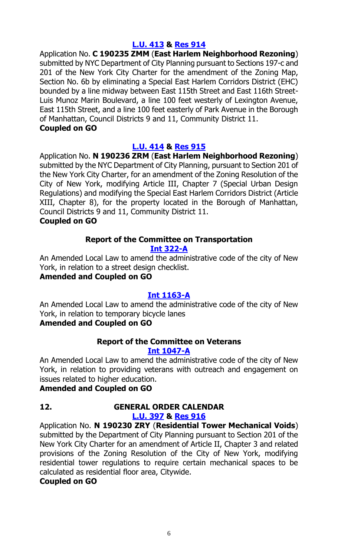#### **[L.U. 413](https://legistar.council.nyc.gov/LegislationDetail.aspx?ID=3932916&GUID=DE8E67DD-C5FB-42B2-B495-9B16B713DDFD&Options=&Search=) & [Res](https://legistar.council.nyc.gov/LegislationDetail.aspx?ID=3949909&GUID=2F50EC71-7E77-4BAB-A247-195C848C25AC&Options=&Search=) 914**

Application No. **C 190235 ZMM** (**East Harlem Neighborhood Rezoning**) submitted by NYC Department of City Planning pursuant to Sections 197-c and 201 of the New York City Charter for the amendment of the Zoning Map, Section No. 6b by eliminating a Special East Harlem Corridors District (EHC) bounded by a line midway between East 115th Street and East 116th Street-Luis Munoz Marin Boulevard, a line 100 feet westerly of Lexington Avenue, East 115th Street, and a line 100 feet easterly of Park Avenue in the Borough of Manhattan, Council Districts 9 and 11, Community District 11. **Coupled on GO**

#### **[L.U. 414](https://legistar.council.nyc.gov/LegislationDetail.aspx?ID=3932917&GUID=334ABBE7-C2E2-4A9C-970D-B4F9BE9F889E&Options=&Search=) & [Res](https://legistar.council.nyc.gov/LegislationDetail.aspx?ID=3949910&GUID=15646C15-9371-4489-A47D-DAA00B9B11C4&Options=&Search=) 915**

Application No. **N 190236 ZRM** (**East Harlem Neighborhood Rezoning**) submitted by the NYC Department of City Planning, pursuant to Section 201 of the New York City Charter, for an amendment of the Zoning Resolution of the City of New York, modifying Article III, Chapter 7 (Special Urban Design Regulations) and modifying the Special East Harlem Corridors District (Article XIII, Chapter 8), for the property located in the Borough of Manhattan, Council Districts 9 and 11, Community District 11. **Coupled on GO**

#### **Report of the Committee on Transportation**

#### **[Int 322-A](https://legistar.council.nyc.gov/LegislationDetail.aspx?ID=3332126&GUID=D3EB88BA-D4A1-4D15-8F1D-1FCC79B13022&Options=&Search=)**

An Amended Local Law to amend the administrative code of the city of New York, in relation to a street design checklist.

#### **Amended and Coupled on GO**

#### **[Int 1163-A](https://legistar.council.nyc.gov/LegislationDetail.aspx?ID=3704357&GUID=011D0D83-B9DD-4947-86AC-88F162D90F31&Options=&Search=)**

An Amended Local Law to amend the administrative code of the city of New York, in relation to temporary bicycle lanes

#### **Amended and Coupled on GO**

### **Report of the Committee on Veterans**

#### **[Int 1047-A](https://legistar.council.nyc.gov/LegislationDetail.aspx?ID=3557682&GUID=EC4EF36C-AC22-429B-ABCF-BBDDA34D533C&Options=&Search=)**

An Amended Local Law to amend the administrative code of the city of New York, in relation to providing veterans with outreach and engagement on issues related to higher education.

#### **Amended and Coupled on GO**

### **12. GENERAL ORDER CALENDAR**

#### **[L.U. 397](https://legistar.council.nyc.gov/LegislationDetail.aspx?ID=3921852&GUID=B982D715-C0BE-4D10-9591-206704F4D5AF&Options=&Search=) & [Res](https://legistar.council.nyc.gov/LegislationDetail.aspx?ID=3949904&GUID=269D43DA-C0FF-4E11-9F74-9BFA52730EE0&Options=&Search=) 916**

Application No. **N 190230 ZRY** (**Residential Tower Mechanical Voids**) submitted by the Department of City Planning pursuant to Section 201 of the New York City Charter for an amendment of Article II, Chapter 3 and related provisions of the Zoning Resolution of the City of New York, modifying residential tower regulations to require certain mechanical spaces to be calculated as residential floor area, Citywide.

#### **Coupled on GO**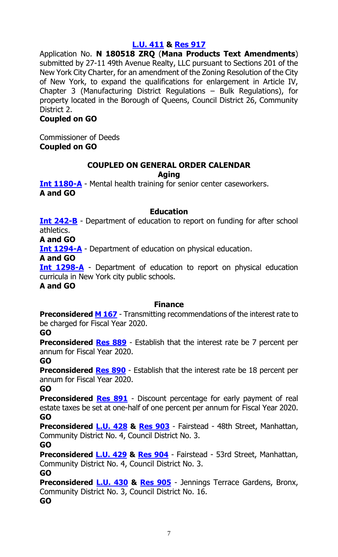#### **[L.U. 411](https://legistar.council.nyc.gov/LegislationDetail.aspx?ID=3932908&GUID=5EC4F428-03A4-4697-A3D6-1FF6D37E0A44&Options=&Search=) & [Res](https://legistar.council.nyc.gov/LegislationDetail.aspx?ID=3949907&GUID=F8B4C804-5556-4862-BAE7-802E02EB30D4&Options=&Search=) 917**

Application No. **N 180518 ZRQ** (**Mana Products Text Amendments**) submitted by 27-11 49th Avenue Realty, LLC pursuant to Sections 201 of the New York City Charter, for an amendment of the Zoning Resolution of the City of New York, to expand the qualifications for enlargement in Article IV, Chapter 3 (Manufacturing District Regulations – Bulk Regulations), for property located in the Borough of Queens, Council District 26, Community District 2.

#### **Coupled on GO**

Commissioner of Deeds **Coupled on GO**

#### **COUPLED ON GENERAL ORDER CALENDAR Aging**

**[Int 1180-A](https://legistar.council.nyc.gov/LegislationDetail.aspx?ID=3713958&GUID=7AC49EC1-83C2-4FD6-98C8-C1938CFBAAAC&Options=&Search=)** - Mental health training for senior center caseworkers. **A and GO**

#### **Education**

**[Int 242-B](https://legistar.council.nyc.gov/LegislationDetail.aspx?ID=3331913&GUID=D2AF695B-8FE1-42B2-9A7C-3BC69861A301&Options=&Search=)** - Department of education to report on funding for after school athletics.

**A and GO**

**[Int 1294-A](https://legistar.council.nyc.gov/LegislationDetail.aspx?ID=3762949&GUID=F0818D2B-1EBD-488C-98A2-725EE77A50C2&Options=&Search=)** - Department of education on physical education.

**A and GO**

**[Int 1298-A](https://legistar.council.nyc.gov/LegislationDetail.aspx?ID=3762950&GUID=4E3F2464-638A-4079-83D9-4D9951F36774&Options=&Search=)** - Department of education to report on physical education curricula in New York city public schools. **A and GO**

#### **Finance**

**Preconsidered [M 167](https://legistar.council.nyc.gov/LegislationDetail.aspx?ID=3957450&GUID=DC7F0E62-F885-4914-8BCF-33F90F8BE3B5&Options=&Search=)** - Transmitting recommendations of the interest rate to be charged for Fiscal Year 2020.

#### **GO**

**Preconsidered [Res 889](https://legistar.council.nyc.gov/LegislationDetail.aspx?ID=3957452&GUID=2C7090D6-E436-4BE5-9A12-2ADE26889FEB&Options=&Search=)** - Establish that the interest rate be 7 percent per annum for Fiscal Year 2020.

#### **GO**

**Preconsidered [Res 890](https://legistar.council.nyc.gov/LegislationDetail.aspx?ID=3957453&GUID=68F0608A-CAE3-466B-8120-6BDE7249EEB0&Options=&Search=)** - Establish that the interest rate be 18 percent per annum for Fiscal Year 2020.

**GO**

**Preconsidered [Res 891](https://legistar.council.nyc.gov/LegislationDetail.aspx?ID=3957451&GUID=97A3205F-B83B-4362-9F25-5BFA0FB3809B&Options=&Search=)** - Discount percentage for early payment of real estate taxes be set at one-half of one percent per annum for Fiscal Year 2020. **GO**

**Preconsidered [L.U. 428](https://legistar.council.nyc.gov/LegislationDetail.aspx?ID=3957342&GUID=2734335A-344E-4AFE-91E4-3F28D0A2DA72&Options=&Search=) & [Res 903](https://legistar.council.nyc.gov/LegislationDetail.aspx?ID=3963840&GUID=93C29D70-46DF-42DF-BF56-7F72E265BBD3&Options=&Search=)** - Fairstead - 48th Street, Manhattan, Community District No. 4, Council District No. 3.

#### **GO**

**Preconsidered [L.U. 429](https://legistar.council.nyc.gov/LegislationDetail.aspx?ID=3957343&GUID=95CFDBC6-0ED1-4232-BEA4-7AFF55E70A2D&Options=&Search=) & [Res 904](https://legistar.council.nyc.gov/LegislationDetail.aspx?ID=3963841&GUID=E75705F9-9D2D-43BD-81BD-8F57B67176F9&Options=&Search=)** - Fairstead - 53rd Street, Manhattan, Community District No. 4, Council District No. 3. **GO**

**Preconsidered [L.U. 430](https://legistar.council.nyc.gov/LegislationDetail.aspx?ID=3957344&GUID=FAA82D5D-6CA7-45BA-9DF6-E85A414482E7&Options=&Search=) & [Res](https://legistar.council.nyc.gov/LegislationDetail.aspx?ID=3963842&GUID=A8F77D21-D8C2-4C1F-97B0-98C5F74DBDA1&Options=&Search=) 905** - Jennings Terrace Gardens, Bronx, Community District No. 3, Council District No. 16. **GO**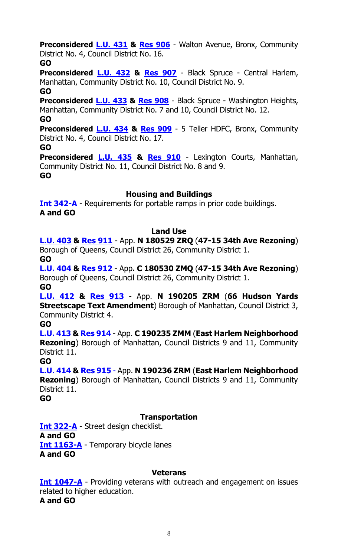**Preconsidered [L.U. 431](https://legistar.council.nyc.gov/LegislationDetail.aspx?ID=3957440&GUID=FEBFF2CA-600A-490F-9807-1AFBF1292DEE&Options=&Search=) & [Res](https://legistar.council.nyc.gov/LegislationDetail.aspx?ID=3963843&GUID=08CC4247-7FF7-46C8-ABDF-938B56F4E270&Options=&Search=) 906** - Walton Avenue, Bronx, Community District No. 4, Council District No. 16.

#### **GO**

**Preconsidered [L.U. 432](https://legistar.council.nyc.gov/LegislationDetail.aspx?ID=3957441&GUID=DA5046E1-FF15-4E9F-BA6E-5C12A089EB8F&Options=&Search=) & [Res](https://legistar.council.nyc.gov/LegislationDetail.aspx?ID=3963844&GUID=A103B6D6-B8E8-48BB-AA15-9F747AC18269&Options=&Search=) 907** - Black Spruce - Central Harlem, Manhattan, Community District No. 10, Council District No. 9.

**GO**

**Preconsidered [L.U. 433](https://legistar.council.nyc.gov/LegislationDetail.aspx?ID=3957454&GUID=4E403B1F-13D9-4429-A628-4570C9B709D9&Options=&Search=) & [Res](https://legistar.council.nyc.gov/LegislationDetail.aspx?ID=3963904&GUID=FE82DBE1-D499-4F3A-9876-A1EE6A4AE132&Options=&Search=) 908** - Black Spruce - Washington Heights, Manhattan, Community District No. 7 and 10, Council District No. 12.

**GO**

**Preconsidered [L.U. 434](https://legistar.council.nyc.gov/LegislationDetail.aspx?ID=3957455&GUID=40735AF6-9BDF-47B3-9A2C-0A71C009B008&Options=&Search=) & [Res](https://legistar.council.nyc.gov/LegislationDetail.aspx?ID=3963905&GUID=6852E783-8AF0-48D0-BA85-3974C836F8C2&Options=&Search=) 909** - 5 Teller HDFC, Bronx, Community District No. 4, Council District No. 17.

**GO**

**Preconsidered [L.U. 435](https://legistar.council.nyc.gov/LegislationDetail.aspx?ID=3957456&GUID=F4035880-CDAC-4037-9D2E-58F5E3BA39DE&Options=&Search=) & [Res](https://legistar.council.nyc.gov/LegislationDetail.aspx?ID=3963906&GUID=11ED2E5F-6E4A-4271-95D3-850245E15C2A&Options=&Search=) 910** - Lexington Courts, Manhattan, Community District No. 11, Council District No. 8 and 9. **GO**

#### **Housing and Buildings**

**[Int 342-A](https://legistar.council.nyc.gov/LegislationDetail.aspx?ID=3332170&GUID=32F204F1-0DE9-4348-9032-462793D515A7&Options=&Search=)** - Requirements for portable ramps in prior code buildings. **A and GO**

#### **Land Use**

**[L.U. 403](https://legistar.council.nyc.gov/LegislationDetail.aspx?ID=3923948&GUID=4B8E9998-7013-4690-8A03-2D0148DB4128&Options=&Search=) & [Res](https://legistar.council.nyc.gov/LegislationDetail.aspx?ID=3949905&GUID=FB3DF5AD-A95A-4E51-851A-34B23DE43508&Options=&Search=) 911** - App. **N 180529 ZRQ** (**47-15 34th Ave Rezoning**) Borough of Queens, Council District 26, Community District 1.

**GO**

**[L.U. 404](https://legistar.council.nyc.gov/LegislationDetail.aspx?ID=3923949&GUID=2777DCA0-6A6F-46E4-A098-80ACAB91F117&Options=&Search=) & [Res](https://legistar.council.nyc.gov/LegislationDetail.aspx?ID=3949906&GUID=24367254-5D8E-458C-B550-BD484B7BB8FB&Options=&Search=) 912** - App**. C 180530 ZMQ** (**47-15 34th Ave Rezoning**) Borough of Queens, Council District 26, Community District 1. **GO**

**[L.U. 412](https://legistar.council.nyc.gov/LegislationDetail.aspx?ID=3932915&GUID=C35438B6-336B-4037-B136-57C9D4E70E5D&Options=&Search=) & [Res](https://legistar.council.nyc.gov/LegislationDetail.aspx?ID=3949908&GUID=FD966D6C-4703-4D98-9482-79AE85938D0F&Options=&Search=) 913** - App. **N 190205 ZRM** (**66 Hudson Yards Streetscape Text Amendment**) Borough of Manhattan, Council District 3, Community District 4.

**GO**

**[L.U. 413](https://legistar.council.nyc.gov/LegislationDetail.aspx?ID=3932916&GUID=DE8E67DD-C5FB-42B2-B495-9B16B713DDFD&Options=&Search=) & [Res](https://legistar.council.nyc.gov/LegislationDetail.aspx?ID=3949909&GUID=2F50EC71-7E77-4BAB-A247-195C848C25AC&Options=&Search=) 914** - App. **C 190235 ZMM** (**East Harlem Neighborhood Rezoning**) Borough of Manhattan, Council Districts 9 and 11, Community District 11.

**GO**

**[L.U. 414](https://legistar.council.nyc.gov/LegislationDetail.aspx?ID=3932917&GUID=334ABBE7-C2E2-4A9C-970D-B4F9BE9F889E&Options=&Search=) & [Res](https://legistar.council.nyc.gov/LegislationDetail.aspx?ID=3949910&GUID=15646C15-9371-4489-A47D-DAA00B9B11C4&Options=&Search=) 915** - App. **N 190236 ZRM** (**East Harlem Neighborhood Rezoning**) Borough of Manhattan, Council Districts 9 and 11, Community District 11.

**GO**

#### **Transportation**

**[Int 322-A](https://legistar.council.nyc.gov/LegislationDetail.aspx?ID=3332126&GUID=D3EB88BA-D4A1-4D15-8F1D-1FCC79B13022&Options=&Search=)** - Street design checklist. **A and GO [Int 1163-A](https://legistar.council.nyc.gov/LegislationDetail.aspx?ID=3704357&GUID=011D0D83-B9DD-4947-86AC-88F162D90F31&Options=&Search=)** - Temporary bicycle lanes **A and GO**

#### **Veterans**

**[Int 1047-A](https://legistar.council.nyc.gov/LegislationDetail.aspx?ID=3557682&GUID=EC4EF36C-AC22-429B-ABCF-BBDDA34D533C&Options=&Search=)** - Providing veterans with outreach and engagement on issues related to higher education. **A and GO**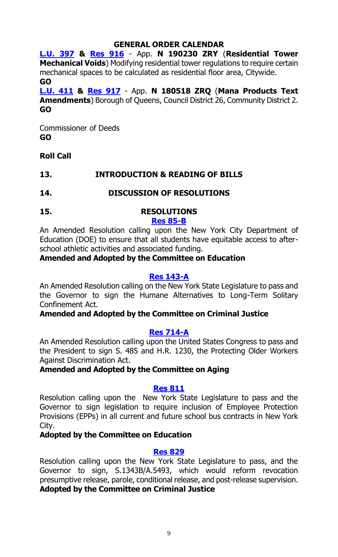#### **GENERAL ORDER CALENDAR**

**[L.U. 397](https://legistar.council.nyc.gov/LegislationDetail.aspx?ID=3921852&GUID=B982D715-C0BE-4D10-9591-206704F4D5AF&Options=&Search=) & [Res 916](https://legistar.council.nyc.gov/LegislationDetail.aspx?ID=3949904&GUID=269D43DA-C0FF-4E11-9F74-9BFA52730EE0&Options=&Search=)** - App. **N 190230 ZRY** (**Residential Tower Mechanical Voids**) Modifying residential tower regulations to require certain mechanical spaces to be calculated as residential floor area, Citywide. **GO**

**[L.U. 411](https://legistar.council.nyc.gov/LegislationDetail.aspx?ID=3932908&GUID=5EC4F428-03A4-4697-A3D6-1FF6D37E0A44&Options=&Search=) & [Res](https://legistar.council.nyc.gov/LegislationDetail.aspx?ID=3949907&GUID=F8B4C804-5556-4862-BAE7-802E02EB30D4&Options=&Search=) 917** - App. **N 180518 ZRQ** (**Mana Products Text Amendments**) Borough of Queens, Council District 26, Community District 2. **GO**

Commissioner of Deeds **GO**

#### **Roll Call**

#### **13. INTRODUCTION & READING OF BILLS**

#### **14. DISCUSSION OF RESOLUTIONS**

#### **15. RESOLUTIONS [Res 85-B](https://legistar.council.nyc.gov/LegislationDetail.aspx?ID=3332024&GUID=611572BA-5E50-4DDE-8A6C-038DC1CD0F39&Options=&Search=)**

An Amended Resolution calling upon the New York City Department of Education (DOE) to ensure that all students have equitable access to afterschool athletic activities and associated funding.

#### **Amended and Adopted by the Committee on Education**

#### **[Res 143-A](https://legistar.council.nyc.gov/LegislationDetail.aspx?ID=3343810&GUID=2F17428A-6488-4988-827D-8B4DE729F629&Options=&Search=)**

An Amended Resolution calling on the New York State Legislature to pass and the Governor to sign the Humane Alternatives to Long-Term Solitary Confinement Act.

#### **Amended and Adopted by the Committee on Criminal Justice**

#### **[Res 714-A](https://legistar.council.nyc.gov/LegislationDetail.aspx?ID=3830894&GUID=63FB3C3B-D77F-4ED8-91C1-5B71A2C02EA8&Options=&Search=)**

An Amended Resolution calling upon the United States Congress to pass and the President to sign S. 485 and H.R. 1230, the Protecting Older Workers Against Discrimination Act.

#### **Amended and Adopted by the Committee on Aging**

#### **Res [811](https://legistar.council.nyc.gov/LegislationDetail.aspx?ID=3903471&GUID=3BDD4D8C-13E7-4D62-85B7-6C3ABD530A18&Options=&Search=)**

Resolution calling upon the New York State Legislature to pass and the Governor to sign legislation to require inclusion of Employee Protection Provisions (EPPs) in all current and future school bus contracts in New York City.

#### **Adopted by the Committee on Education**

#### **[Res 829](https://legistar.council.nyc.gov/LegislationDetail.aspx?ID=3913899&GUID=0B8671D9-341A-4C3B-AF3B-475D06517ADA&Options=&Search=)**

Resolution calling upon the New York State Legislature to pass, and the Governor to sign, S.1343B/A.5493, which would reform revocation presumptive release, parole, conditional release, and post-release supervision. **Adopted by the Committee on Criminal Justice**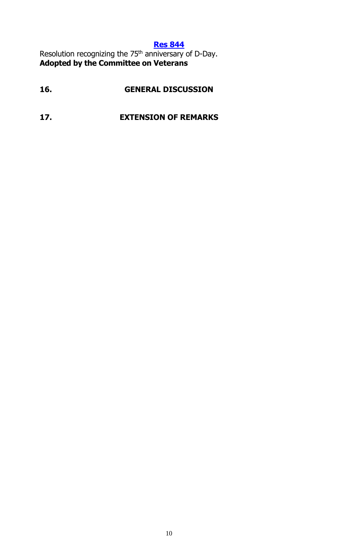#### **Res [844](https://legistar.council.nyc.gov/LegislationDetail.aspx?ID=3923877&GUID=2DD91BF6-C7D9-4B23-8461-53551CFE96BD&Options=&Search=)**

Resolution recognizing the 75<sup>th</sup> anniversary of D-Day. **Adopted by the Committee on Veterans**

## **16. GENERAL DISCUSSION**

#### **17. EXTENSION OF REMARKS**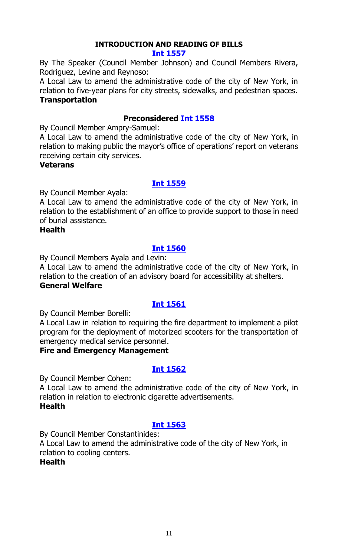#### **INTRODUCTION AND READING OF BILLS**

#### **[Int 1557](https://legistar.council.nyc.gov/LegislationDetail.aspx?ID=3954291&GUID=D37BA0B0-9AB6-434B-A82E-E49A7895A1A4&Options=&Search=)**

By The Speaker (Council Member Johnson) and Council Members Rivera, Rodriguez, Levine and Reynoso:

A Local Law to amend the administrative code of the city of New York, in relation to five-year plans for city streets, sidewalks, and pedestrian spaces. **Transportation**

#### **Preconsidered [Int 1558](https://legistar.council.nyc.gov/LegislationDetail.aspx?ID=3940283&GUID=6004BDEA-B519-407C-983D-A5D0D527165A&Options=&Search=)**

By Council Member Ampry-Samuel:

A Local Law to amend the administrative code of the city of New York, in relation to making public the mayor's office of operations' report on veterans receiving certain city services.

#### **Veterans**

#### **[Int 1559](https://legistar.council.nyc.gov/LegislationDetail.aspx?ID=3957965&GUID=F9169B59-9565-4CDC-9D12-73C20E289E07&Options=&Search=)**

By Council Member Ayala:

A Local Law to amend the administrative code of the city of New York, in relation to the establishment of an office to provide support to those in need of burial assistance.

#### **Health**

#### **[Int 1560](https://legistar.council.nyc.gov/LegislationDetail.aspx?ID=3963872&GUID=1F310439-59B3-4B83-AF56-4B08496288DA&Options=&Search=)**

By Council Members Ayala and Levin:

A Local Law to amend the administrative code of the city of New York, in relation to the creation of an advisory board for accessibility at shelters. **General Welfare**

#### **[Int 1561](https://legistar.council.nyc.gov/LegislationDetail.aspx?ID=3963880&GUID=343F6196-4696-4CC8-B89E-E99358D9C0C7&Options=&Search=)**

By Council Member Borelli:

A Local Law in relation to requiring the fire department to implement a pilot program for the deployment of motorized scooters for the transportation of emergency medical service personnel.

#### **Fire and Emergency Management**

#### **[Int 1562](https://legistar.council.nyc.gov/LegislationDetail.aspx?ID=3963892&GUID=F7F27275-3D5F-416F-89D5-4F02C5C80975&Options=&Search=)**

By Council Member Cohen:

A Local Law to amend the administrative code of the city of New York, in relation in relation to electronic cigarette advertisements. **Health**

#### **[Int 1563](https://legistar.council.nyc.gov/LegislationDetail.aspx?ID=3963870&GUID=4B5C4CCE-889C-44AD-8113-C3528A2E03D4&Options=&Search=)**

By Council Member Constantinides:

A Local Law to amend the administrative code of the city of New York, in relation to cooling centers.

#### **Health**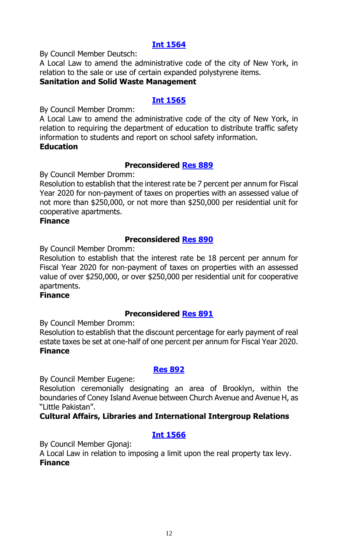By Council Member Deutsch:

A Local Law to amend the administrative code of the city of New York, in relation to the sale or use of certain expanded polystyrene items.

#### **Sanitation and Solid Waste Management**

#### **[Int 1565](https://legistar.council.nyc.gov/LegislationDetail.aspx?ID=3963888&GUID=913AF84E-3E49-49EC-89E0-A122164C7756&Options=&Search=)**

By Council Member Dromm:

A Local Law to amend the administrative code of the city of New York, in relation to requiring the department of education to distribute traffic safety information to students and report on school safety information. **Education**

#### **Preconsidered [Res 889](https://legistar.council.nyc.gov/LegislationDetail.aspx?ID=3957452&GUID=2C7090D6-E436-4BE5-9A12-2ADE26889FEB&Options=&Search=)**

By Council Member Dromm:

Resolution to establish that the interest rate be 7 percent per annum for Fiscal Year 2020 for non-payment of taxes on properties with an assessed value of not more than \$250,000, or not more than \$250,000 per residential unit for cooperative apartments.

#### **Finance**

#### **Preconsidered [Res 890](https://legistar.council.nyc.gov/LegislationDetail.aspx?ID=3957453&GUID=68F0608A-CAE3-466B-8120-6BDE7249EEB0&Options=&Search=)**

By Council Member Dromm:

Resolution to establish that the interest rate be 18 percent per annum for Fiscal Year 2020 for non-payment of taxes on properties with an assessed value of over \$250,000, or over \$250,000 per residential unit for cooperative apartments.

#### **Finance**

#### **Preconsidered [Res 891](https://legistar.council.nyc.gov/LegislationDetail.aspx?ID=3957451&GUID=97A3205F-B83B-4362-9F25-5BFA0FB3809B&Options=&Search=)**

By Council Member Dromm:

Resolution to establish that the discount percentage for early payment of real estate taxes be set at one-half of one percent per annum for Fiscal Year 2020. **Finance**

#### **[Res 892](https://legistar.council.nyc.gov/LegislationDetail.aspx?ID=3963898&GUID=B2953004-DE4D-4C95-95AF-E1214CADE79A&Options=&Search=)**

By Council Member Eugene:

Resolution ceremonially designating an area of Brooklyn, within the boundaries of Coney Island Avenue between Church Avenue and Avenue H, as "Little Pakistan".

#### **Cultural Affairs, Libraries and International Intergroup Relations**

#### **[Int 1566](https://legistar.council.nyc.gov/LegislationDetail.aspx?ID=3963896&GUID=0C2948AF-9B1E-46F8-9AC4-B2130BD1EE5B&Options=&Search=)**

By Council Member Gjonaj:

A Local Law in relation to imposing a limit upon the real property tax levy. **Finance**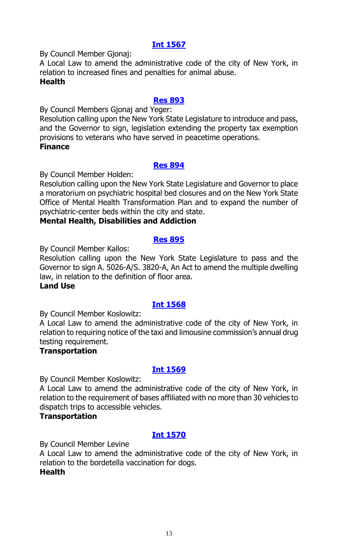By Council Member Gjonaj:

A Local Law to amend the administrative code of the city of New York, in relation to increased fines and penalties for animal abuse. **Health**

#### **[Res 893](https://legistar.council.nyc.gov/LegislationDetail.aspx?ID=3963879&GUID=43048108-2E7F-4353-9C87-38E49C24AAE1&Options=&Search=)**

By Council Members Gjonaj and Yeger:

Resolution calling upon the New York State Legislature to introduce and pass, and the Governor to sign, legislation extending the property tax exemption provisions to veterans who have served in peacetime operations. **Finance**

#### **[Res 894](https://legistar.council.nyc.gov/LegislationDetail.aspx?ID=3963887&GUID=D58560CA-6595-40A9-A525-502CA9CB7710&Options=&Search=)**

By Council Member Holden:

Resolution calling upon the New York State Legislature and Governor to place a moratorium on psychiatric hospital bed closures and on the New York State Office of Mental Health Transformation Plan and to expand the number of psychiatric-center beds within the city and state.

#### **Mental Health, Disabilities and Addiction**

#### **[Res 895](https://legistar.council.nyc.gov/LegislationDetail.aspx?ID=3963897&GUID=2F6E881E-0B80-4143-AC38-DFCA70570373&Options=&Search=)**

By Council Member Kallos:

Resolution calling upon the New York State Legislature to pass and the Governor to sign A. 5026-A/S. 3820-A, An Act to amend the multiple dwelling law, in relation to the definition of floor area.

#### **Land Use**

#### **[Int 1568](https://legistar.council.nyc.gov/LegislationDetail.aspx?ID=3963873&GUID=D706984F-B3A8-460C-BDFD-36AA9D873862&Options=&Search=)**

By Council Member Koslowitz:

A Local Law to amend the administrative code of the city of New York, in relation to requiring notice of the taxi and limousine commission's annual drug testing requirement.

#### **Transportation**

#### **[Int 1569](https://legistar.council.nyc.gov/LegislationDetail.aspx?ID=3963877&GUID=66CAC9E9-9590-4D75-B5C3-9995835F0FAE&Options=&Search=)**

By Council Member Koslowitz:

A Local Law to amend the administrative code of the city of New York, in relation to the requirement of bases affiliated with no more than 30 vehicles to dispatch trips to accessible vehicles.

#### **Transportation**

#### **[Int 1570](https://legistar.council.nyc.gov/LegislationDetail.aspx?ID=3963893&GUID=5A545B13-EF34-4BA9-A285-725920E73435&Options=&Search=)**

By Council Member Levine

A Local Law to amend the administrative code of the city of New York, in relation to the bordetella vaccination for dogs. **Health**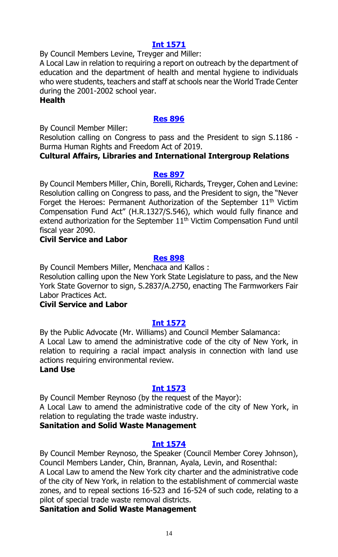By Council Members Levine, Treyger and Miller:

A Local Law in relation to requiring a report on outreach by the department of education and the department of health and mental hygiene to individuals who were students, teachers and staff at schools near the World Trade Center during the 2001-2002 school year.

#### **Health**

#### **[Res 896](https://legistar.council.nyc.gov/LegislationDetail.aspx?ID=3963899&GUID=8F9BAE4E-CDF7-4530-9B7F-DD5A6DAAF6B4&Options=&Search=)**

By Council Member Miller:

Resolution calling on Congress to pass and the President to sign S.1186 - Burma Human Rights and Freedom Act of 2019.

#### **Cultural Affairs, Libraries and International Intergroup Relations**

#### **[Res 897](https://legistar.council.nyc.gov/LegislationDetail.aspx?ID=3963876&GUID=A1B7E9A8-DCE3-47B8-B3A3-9FD48DD64003&Options=&Search=)**

By Council Members Miller, Chin, Borelli, Richards, Treyger, Cohen and Levine: Resolution calling on Congress to pass, and the President to sign, the "Never Forget the Heroes: Permanent Authorization of the September  $11<sup>th</sup>$  Victim Compensation Fund Act" (H.R.1327/S.546), which would fully finance and extend authorization for the September  $11<sup>th</sup>$  Victim Compensation Fund until fiscal year 2090.

#### **Civil Service and Labor**

#### **[Res 898](https://legistar.council.nyc.gov/LegislationDetail.aspx?ID=3963875&GUID=52B08FD9-3528-4E8B-A7B8-7A8E83420262&Options=&Search=)**

By Council Members Miller, Menchaca and Kallos :

Resolution calling upon the New York State Legislature to pass, and the New York State Governor to sign, S.2837/A.2750, enacting The Farmworkers Fair Labor Practices Act.

#### **Civil Service and Labor**

#### **[Int 1572](https://legistar.council.nyc.gov/LegislationDetail.aspx?ID=3963886&GUID=D2C9A25B-0036-416E-87CD-C3AED208AE1B&Options=&Search=)**

By the Public Advocate (Mr. Williams) and Council Member Salamanca: A Local Law to amend the administrative code of the city of New York, in relation to requiring a racial impact analysis in connection with land use actions requiring environmental review.

#### **Land Use**

#### **[Int 1573](https://legistar.council.nyc.gov/LegislationDetail.aspx?ID=3963903&GUID=A0D12570-7673-4E49-B5B8-4B00387EDD42&Options=&Search=)**

By Council Member Reynoso (by the request of the Mayor): A Local Law to amend the administrative code of the city of New York, in relation to regulating the trade waste industry.

#### **Sanitation and Solid Waste Management**

#### **[Int 1574](https://legistar.council.nyc.gov/LegislationDetail.aspx?ID=3963901&GUID=6D5F166D-1834-4EDD-BF64-DA5D1DD88C61&Options=&Search=)**

By Council Member Reynoso, the Speaker (Council Member Corey Johnson), Council Members Lander, Chin, Brannan, Ayala, Levin, and Rosenthal:

A Local Law to amend the New York city charter and the administrative code of the city of New York, in relation to the establishment of commercial waste zones, and to repeal sections 16-523 and 16-524 of such code, relating to a pilot of special trade waste removal districts.

#### **Sanitation and Solid Waste Management**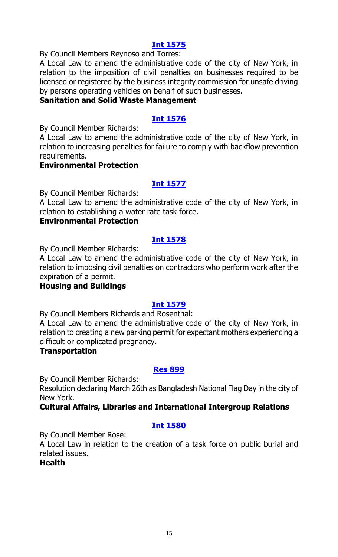By Council Members Reynoso and Torres:

A Local Law to amend the administrative code of the city of New York, in relation to the imposition of civil penalties on businesses required to be licensed or registered by the business integrity commission for unsafe driving by persons operating vehicles on behalf of such businesses.

#### **Sanitation and Solid Waste Management**

#### **[Int 1576](https://legistar.council.nyc.gov/LegislationDetail.aspx?ID=3963891&GUID=8EFFB22C-27D5-4B6A-A507-7F09BAFE574D&Options=&Search=)**

By Council Member Richards:

A Local Law to amend the administrative code of the city of New York, in relation to increasing penalties for failure to comply with backflow prevention requirements.

#### **Environmental Protection**

#### **[Int 1577](https://legistar.council.nyc.gov/LegislationDetail.aspx?ID=3963900&GUID=367BEDA0-1A1B-4B77-A3A5-69B60503E922&Options=&Search=)**

By Council Member Richards:

A Local Law to amend the administrative code of the city of New York, in relation to establishing a water rate task force.

#### **Environmental Protection**

#### **[Int 1578](https://legistar.council.nyc.gov/LegislationDetail.aspx?ID=3963878&GUID=5E49298D-2573-433F-9A6D-3B7219BBC6DD&Options=&Search=)**

By Council Member Richards:

A Local Law to amend the administrative code of the city of New York, in relation to imposing civil penalties on contractors who perform work after the expiration of a permit.

#### **Housing and Buildings**

#### **[Int 1579](https://legistar.council.nyc.gov/LegislationDetail.aspx?ID=3963871&GUID=28F571BA-B69C-4245-9F57-E7AD358DFF12&Options=&Search=)**

By Council Members Richards and Rosenthal:

A Local Law to amend the administrative code of the city of New York, in relation to creating a new parking permit for expectant mothers experiencing a difficult or complicated pregnancy.

#### **Transportation**

#### **[Res 899](https://legistar.council.nyc.gov/LegislationDetail.aspx?ID=3963894&GUID=3F25A433-B773-4160-B3FA-32567DB9A844&Options=&Search=)**

By Council Member Richards:

Resolution declaring March 26th as Bangladesh National Flag Day in the city of New York.

#### **Cultural Affairs, Libraries and International Intergroup Relations**

#### **[Int 1580](https://legistar.council.nyc.gov/LegislationDetail.aspx?ID=3943302&GUID=D9B5CCAF-E8D9-4F2B-AB13-0551D26EAEA4&Options=&Search=)**

By Council Member Rose:

A Local Law in relation to the creation of a task force on public burial and related issues.

#### **Health**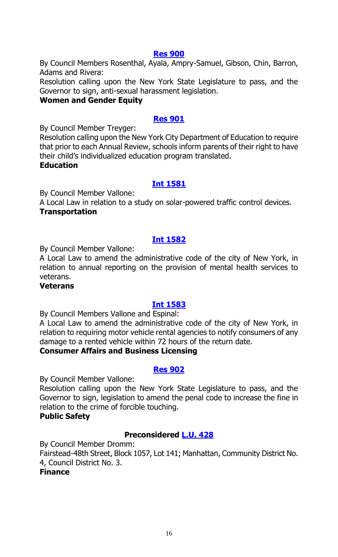#### **[Res 900](https://legistar.council.nyc.gov/LegislationDetail.aspx?ID=3963890&GUID=0D9F30B7-EC7A-412A-BA4C-9DD431B6F667&Options=&Search=)**

By Council Members Rosenthal, Ayala, Ampry-Samuel, Gibson, Chin, Barron, Adams and Rivera:

Resolution calling upon the New York State Legislature to pass, and the Governor to sign, anti-sexual harassment legislation.

#### **Women and Gender Equity**

#### **[Res 901](https://legistar.council.nyc.gov/LegislationDetail.aspx?ID=3963882&GUID=8480B35D-B11B-41ED-9FEA-42C49FF60502&Options=&Search=)**

By Council Member Treyger:

Resolution calling upon the New York City Department of Education to require that prior to each Annual Review, schools inform parents of their right to have their child's individualized education program translated.

#### **Education**

#### **[Int 1581](https://legistar.council.nyc.gov/LegislationDetail.aspx?ID=3963883&GUID=DACD029C-F0BC-43F3-B0AB-96EBCEC65D7C&Options=&Search=)**

By Council Member Vallone:

A Local Law in relation to a study on solar-powered traffic control devices. **Transportation**

#### **[Int 1582](https://legistar.council.nyc.gov/LegislationDetail.aspx?ID=3963889&GUID=091D5858-A640-4D8F-835D-B1267B96CB90&Options=&Search=)**

By Council Member Vallone:

A Local Law to amend the administrative code of the city of New York, in relation to annual reporting on the provision of mental health services to veterans.

#### **Veterans**

#### **[Int 1583](https://legistar.council.nyc.gov/LegislationDetail.aspx?ID=3963884&GUID=70339D78-F606-4059-B281-44F66A3E0B0D&Options=&Search=)**

By Council Members Vallone and Espinal:

A Local Law to amend the administrative code of the city of New York, in relation to requiring motor vehicle rental agencies to notify consumers of any damage to a rented vehicle within 72 hours of the return date.

#### **Consumer Affairs and Business Licensing**

#### **[Res 902](https://legistar.council.nyc.gov/LegislationDetail.aspx?ID=3963881&GUID=70088FAC-64C8-4C53-91C6-3B4BD704A09F&Options=&Search=)**

By Council Member Vallone:

Resolution calling upon the New York State Legislature to pass, and the Governor to sign, legislation to amend the penal code to increase the fine in relation to the crime of forcible touching.

#### **Public Safety**

#### **Preconsidered [L.U. 428](https://legistar.council.nyc.gov/LegislationDetail.aspx?ID=3957342&GUID=2734335A-344E-4AFE-91E4-3F28D0A2DA72&Options=&Search=)**

By Council Member Dromm:

Fairstead-48th Street, Block 1057, Lot 141; Manhattan, Community District No. 4, Council District No. 3.

#### **Finance**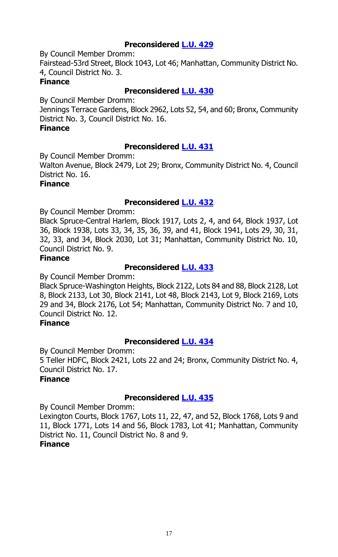#### **Preconsidered [L.U. 429](https://legistar.council.nyc.gov/LegislationDetail.aspx?ID=3957343&GUID=95CFDBC6-0ED1-4232-BEA4-7AFF55E70A2D&Options=&Search=)**

By Council Member Dromm:

Fairstead-53rd Street, Block 1043, Lot 46; Manhattan, Community District No. 4, Council District No. 3.

#### **Finance**

#### **Preconsidered [L.U. 430](https://legistar.council.nyc.gov/LegislationDetail.aspx?ID=3957344&GUID=FAA82D5D-6CA7-45BA-9DF6-E85A414482E7&Options=&Search=)**

By Council Member Dromm: Jennings Terrace Gardens, Block 2962, Lots 52, 54, and 60; Bronx, Community District No. 3, Council District No. 16.

#### **Finance**

#### **Preconsidered [L.U. 431](https://legistar.council.nyc.gov/LegislationDetail.aspx?ID=3957440&GUID=FEBFF2CA-600A-490F-9807-1AFBF1292DEE&Options=&Search=)**

By Council Member Dromm:

Walton Avenue, Block 2479, Lot 29; Bronx, Community District No. 4, Council District No. 16.

#### **Finance**

#### **Preconsidered [L.U. 432](https://legistar.council.nyc.gov/LegislationDetail.aspx?ID=3957441&GUID=DA5046E1-FF15-4E9F-BA6E-5C12A089EB8F&Options=&Search=)**

By Council Member Dromm:

Black Spruce-Central Harlem, Block 1917, Lots 2, 4, and 64, Block 1937, Lot 36, Block 1938, Lots 33, 34, 35, 36, 39, and 41, Block 1941, Lots 29, 30, 31, 32, 33, and 34, Block 2030, Lot 31; Manhattan, Community District No. 10, Council District No. 9.

#### **Finance**

#### **Preconsidered [L.U. 433](https://legistar.council.nyc.gov/LegislationDetail.aspx?ID=3957454&GUID=4E403B1F-13D9-4429-A628-4570C9B709D9&Options=&Search=)**

By Council Member Dromm:

Black Spruce-Washington Heights, Block 2122, Lots 84 and 88, Block 2128, Lot 8, Block 2133, Lot 30, Block 2141, Lot 48, Block 2143, Lot 9, Block 2169, Lots 29 and 34, Block 2176, Lot 54; Manhattan, Community District No. 7 and 10, Council District No. 12.

#### **Finance**

#### **Preconsidered [L.U. 434](https://legistar.council.nyc.gov/LegislationDetail.aspx?ID=3957455&GUID=40735AF6-9BDF-47B3-9A2C-0A71C009B008&Options=&Search=)**

By Council Member Dromm: 5 Teller HDFC, Block 2421, Lots 22 and 24; Bronx, Community District No. 4, Council District No. 17. **Finance**

#### **Preconsidered [L.U. 435](https://legistar.council.nyc.gov/LegislationDetail.aspx?ID=3957456&GUID=F4035880-CDAC-4037-9D2E-58F5E3BA39DE&Options=&Search=)**

By Council Member Dromm:

Lexington Courts, Block 1767, Lots 11, 22, 47, and 52, Block 1768, Lots 9 and 11, Block 1771, Lots 14 and 56, Block 1783, Lot 41; Manhattan, Community District No. 11, Council District No. 8 and 9.

#### **Finance**